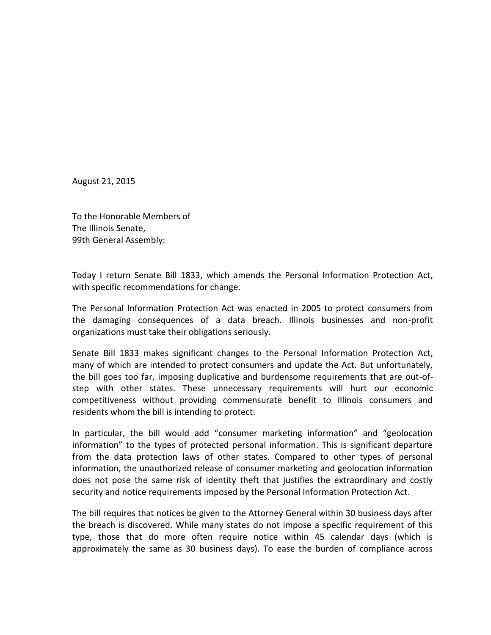August 21, 2015

To the Honorable Members of The Illinois Senate, 99th General Assembly:

Today I return Senate Bill 1833, which amends the Personal Information Protection Act, with specific recommendations for change.

The Personal Information Protection Act was enacted in 2005 to protect consumers from the damaging consequences of a data breach. Illinois businesses and non-profit organizations must take their obligations seriously.

Senate Bill 1833 makes significant changes to the Personal Information Protection Act, many of which are intended to protect consumers and update the Act. But unfortunately, the bill goes too far, imposing duplicative and burdensome requirements that are out-ofstep with other states. These unnecessary requirements will hurt our economic competitiveness without providing commensurate benefit to Illinois consumers and residents whom the bill is intending to protect.

In particular, the bill would add "consumer marketing information" and "geolocation information" to the types of protected personal information. This is significant departure from the data protection laws of other states. Compared to other types of personal information, the unauthorized release of consumer marketing and geolocation information does not pose the same risk of identity theft that justifies the extraordinary and costly security and notice requirements imposed by the Personal Information Protection Act.

The bill requires that notices be given to the Attorney General within 30 business days after the breach is discovered. While many states do not impose a specific requirement of this type, those that do more often require notice within 45 calendar days (which is approximately the same as 30 business days). To ease the burden of compliance across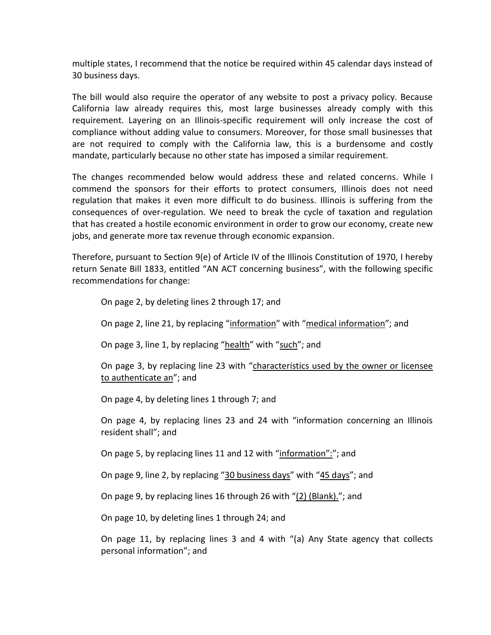multiple states, I recommend that the notice be required within 45 calendar days instead of 30 business days.

The bill would also require the operator of any website to post a privacy policy. Because California law already requires this, most large businesses already comply with this requirement. Layering on an Illinois-specific requirement will only increase the cost of compliance without adding value to consumers. Moreover, for those small businesses that are not required to comply with the California law, this is a burdensome and costly mandate, particularly because no other state has imposed a similar requirement.

The changes recommended below would address these and related concerns. While I commend the sponsors for their efforts to protect consumers, Illinois does not need regulation that makes it even more difficult to do business. Illinois is suffering from the consequences of over-regulation. We need to break the cycle of taxation and regulation that has created a hostile economic environment in order to grow our economy, create new jobs, and generate more tax revenue through economic expansion.

Therefore, pursuant to Section 9(e) of Article IV of the Illinois Constitution of 1970, I hereby return Senate Bill 1833, entitled "AN ACT concerning business", with the following specific recommendations for change:

On page 2, by deleting lines 2 through 17; and

On page 2, line 21, by replacing "information" with "medical information"; and

On page 3, line 1, by replacing "health" with "such"; and

On page 3, by replacing line 23 with "characteristics used by the owner or licensee to authenticate an"; and

On page 4, by deleting lines 1 through 7; and

On page 4, by replacing lines 23 and 24 with "information concerning an Illinois resident shall"; and

On page 5, by replacing lines 11 and 12 with "information":"; and

On page 9, line 2, by replacing "30 business days" with "45 days"; and

On page 9, by replacing lines 16 through 26 with "(2) (Blank)."; and

On page 10, by deleting lines 1 through 24; and

On page 11, by replacing lines 3 and 4 with "(a) Any State agency that collects personal information"; and